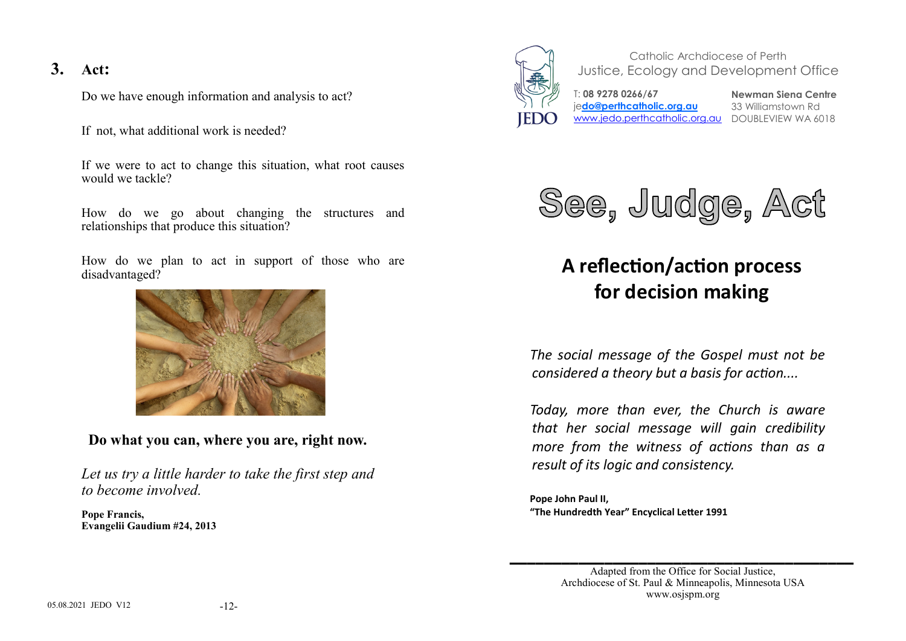# **3. Act:**

Do we have enough information and analysis to act?

If not, what additional work is needed?

If we were to act to change this situation, what root causes would we tackle?

How do we go about changing the structures and relationships that produce this situation?

How do we plan to act in support of those who are disadvantaged?



**Do what you can, where you are, right now.** 

*Let us try a little harder to take the first step and to become involved.*

**Pope Francis, Evangelii Gaudium #24, 2013**



Catholic Archdiocese of Perth Justice, Ecology and Development Office



T: **08 9278 0266/67**  je**do@perthcatholic.org.au** www.jedo.perthcatholic.org.au DOUBLEVIEW WA 6018

**Newman Siena Centre** 33 Williamstown Rd



# **A reflection/action process for decision making**

*The social message of the Gospel must not be considered a theory but a basis for action....*

*Today, more than ever, the Church is aware that her social message will gain credibility more from the witness of actions than as a result of its logic and consistency.*

**Pope John Paul II, "The Hundredth Year" Encyclical Letter 1991**

**\_\_\_\_\_\_\_\_\_\_\_\_\_\_\_\_\_\_\_\_\_\_\_\_\_\_\_\_\_\_\_\_\_\_\_\_\_\_\_\_**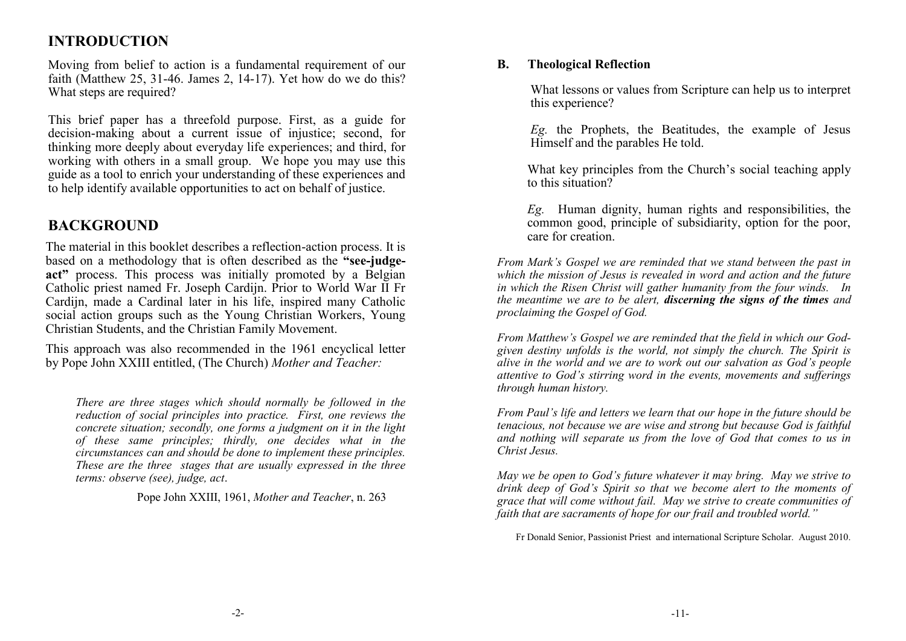# **INTRODUCTION**

Moving from belief to action is a fundamental requirement of our faith (Matthew 25, 31-46. James 2, 14-17). Yet how do we do this? What steps are required?

This brief paper has a threefold purpose. First, as a guide for decision-making about a current issue of injustice; second, for thinking more deeply about everyday life experiences; and third, for working with others in a small group. We hope you may use this guide as a tool to enrich your understanding of these experiences and to help identify available opportunities to act on behalf of justice.

# **BACKGROUND**

The material in this booklet describes a reflection-action process. It is based on a methodology that is often described as the **"see-judge**act<sup>\*</sup> process. This process was initially promoted by a Belgian Catholic priest named Fr. Joseph Cardijn. Prior to World War II Fr Cardijn, made a Cardinal later in his life, inspired many Catholic social action groups such as the Young Christian Workers, Young Christian Students, and the Christian Family Movement.

This approach was also recommended in the 1961 encyclical letter by Pope John XXIII entitled, (The Church) *Mother and Teacher:*

*There are three stages which should normally be followed in the reduction of social principles into practice. First, one reviews the concrete situation; secondly, one forms a judgment on it in the light of these same principles; thirdly, one decides what in the circumstances can and should be done to implement these principles. These are the three stages that are usually expressed in the three terms: observe (see), judge, act*.

Pope John XXIII, 1961, *Mother and Teacher*, n. 263

#### **B. Theological Reflection**

What lessons or values from Scripture can help us to interpret this experience?

*Eg.* the Prophets, the Beatitudes, the example of Jesus Himself and the parables He told.

What key principles from the Church's social teaching apply to this situation?

*Eg.* Human dignity, human rights and responsibilities, the common good, principle of subsidiarity, option for the poor, care for creation.

*From Mark's Gospel we are reminded that we stand between the past in which the mission of Jesus is revealed in word and action and the future in which the Risen Christ will gather humanity from the four winds. In the meantime we are to be alert, discerning the signs of the times and proclaiming the Gospel of God.*

*From Matthew's Gospel we are reminded that the field in which our Godgiven destiny unfolds is the world, not simply the church. The Spirit is alive in the world and we are to work out our salvation as God's people attentive to God's stirring word in the events, movements and sufferings through human history.*

*From Paul's life and letters we learn that our hope in the future should be tenacious, not because we are wise and strong but because God is faithful and nothing will separate us from the love of God that comes to us in Christ Jesus.*

*May we be open to God's future whatever it may bring. May we strive to drink deep of God's Spirit so that we become alert to the moments of grace that will come without fail. May we strive to create communities of faith that are sacraments of hope for our frail and troubled world."*

Fr Donald Senior, Passionist Priest and international Scripture Scholar. August 2010.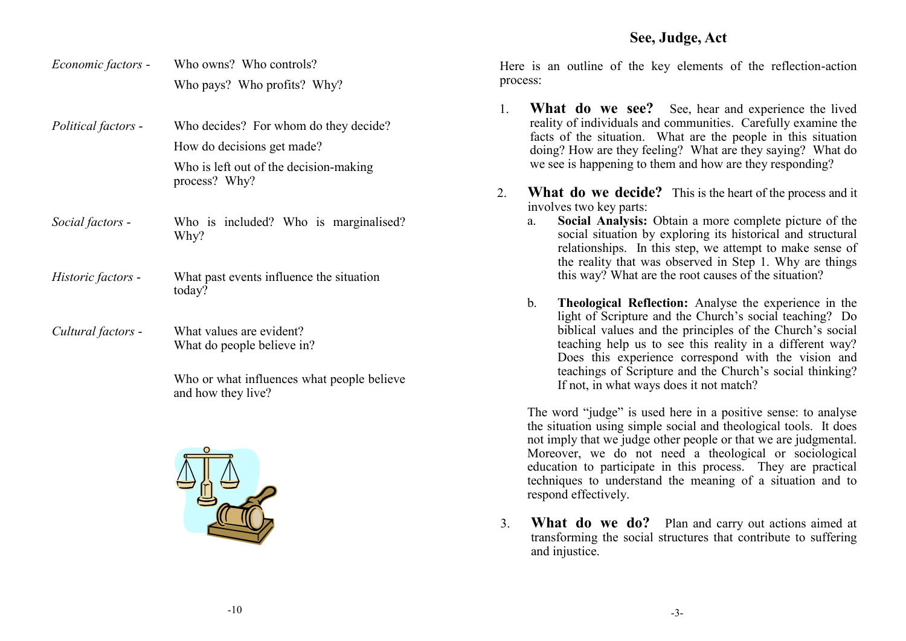### **See, Judge, Act**

- *Economic factors* Who owns? Who controls? Who pays? Who profits? Why?
- *Political factors* Who decides? For whom do they decide? How do decisions get made? Who is left out of the decision-making process? Why?
- *Social factors*  Who is included? Who is marginalised? Why?
- *Historic factors*  What past events influence the situation today?
- *Cultural factors*  What values are evident? What do people believe in?

Who or what influences what people believe and how they live?



Here is an outline of the key elements of the reflection-action process:

- 1. **What do we see?** See, hear and experience the lived reality of individuals and communities. Carefully examine the facts of the situation. What are the people in this situation doing? How are they feeling? What are they saying? What do we see is happening to them and how are they responding?
- 2. **What do we decide?** This is the heart of the process and it involves two key parts:
	- a. **Social Analysis:** Obtain a more complete picture of the social situation by exploring its historical and structural relationships. In this step, we attempt to make sense of the reality that was observed in Step 1. Why are things this way? What are the root causes of the situation?
	- b. **Theological Reflection:** Analyse the experience in the light of Scripture and the Church's social teaching? Do biblical values and the principles of the Church's social teaching help us to see this reality in a different way? Does this experience correspond with the vision and teachings of Scripture and the Church's social thinking? If not, in what ways does it not match?

The word "judge" is used here in a positive sense: to analyse the situation using simple social and theological tools. It does not imply that we judge other people or that we are judgmental. Moreover, we do not need a theological or sociological education to participate in this process. They are practical techniques to understand the meaning of a situation and to respond effectively.

3. **What do we do?** Plan and carry out actions aimed at transforming the social structures that contribute to suffering and injustice.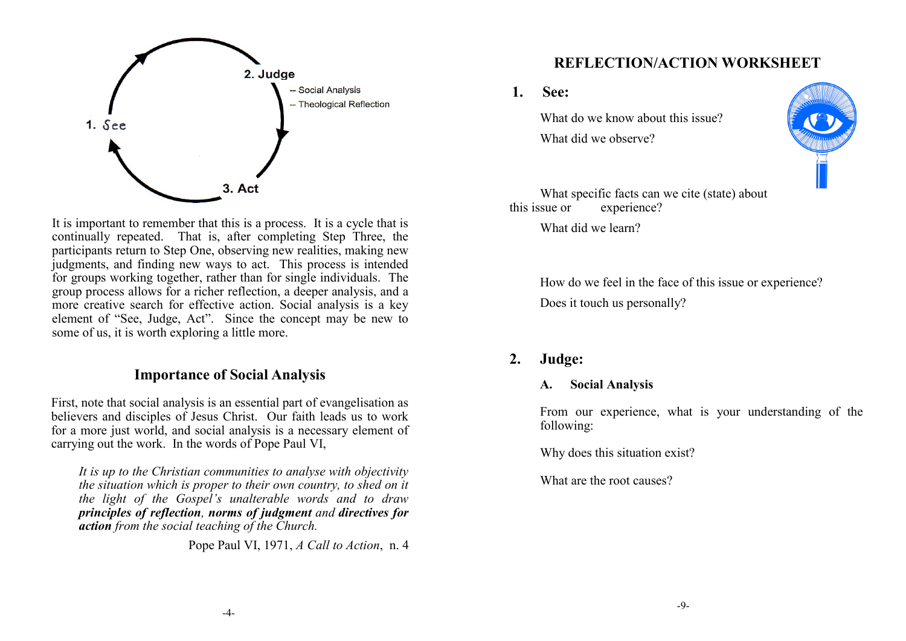

It is important to remember that this is a process. It is a cycle that is continually repeated. That is, after completing Step Three, the participants return to Step One, observing new realities, making new judgments, and finding new ways to act. This process is intended for groups working together, rather than for single individuals. The group process allows for a richer reflection, a deeper analysis, and a more creative search for effective action. Social analysis is a key element of "See, Judge, Act". Since the concept may be new to some of us, it is worth exploring a little more.

### **Importance of Social Analysis**

First, note that social analysis is an essential part of evangelisation as believers and disciples of Jesus Christ. Our faith leads us to work for a more just world, and social analysis is a necessary element of carrying out the work. In the words of Pope Paul VI,

*It is up to the Christian communities to analyse with objectivity the situation which is proper to their own country, to shed on it the light of the Gospel's unalterable words and to draw principles of reflection, norms of judgment and directives for action from the social teaching of the Church.*

Pope Paul VI, 1971, *A Call to Action*, n. 4

### **REFLECTION/ACTION WORKSHEET**

**1. See:**

What do we know about this issue? What did we observe?



What specific facts can we cite (state) about<br>this issue or experience? experience?

What did we learn?

How do we feel in the face of this issue or experience? Does it touch us personally?

### **2. Judge:**

#### **A. Social Analysis**

From our experience, what is your understanding of the following:

Why does this situation exist?

What are the root causes?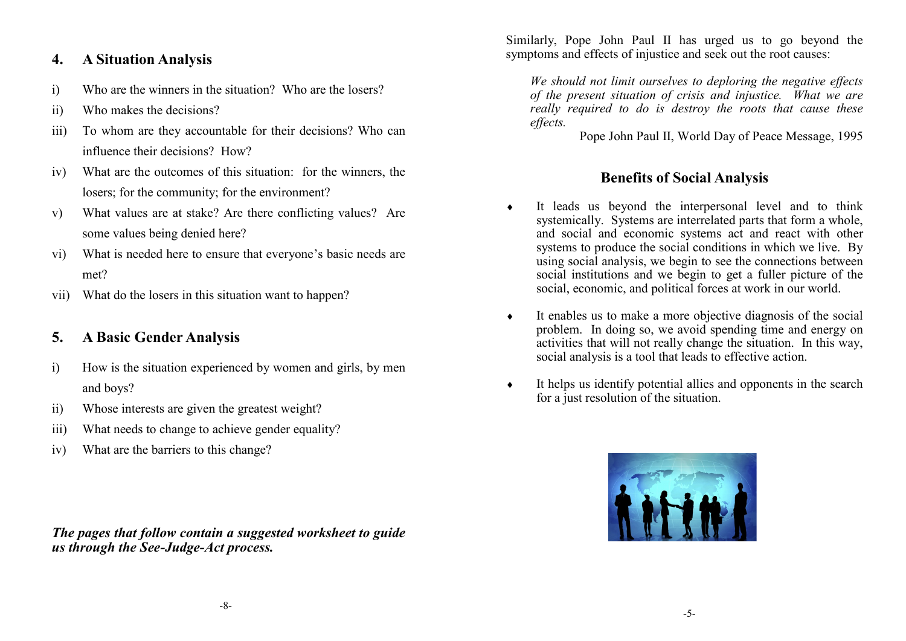### **4. A Situation Analysis**

- i) Who are the winners in the situation? Who are the losers?
- ii) Who makes the decisions?
- iii) To whom are they accountable for their decisions? Who can influence their decisions? How?
- iv) What are the outcomes of this situation: for the winners, the losers; for the community; for the environment?
- v) What values are at stake? Are there conflicting values? Are some values being denied here?
- vi) What is needed here to ensure that everyone's basic needs are met?
- vii) What do the losers in this situation want to happen?

# **5. A Basic Gender Analysis**

- i) How is the situation experienced by women and girls, by men and boys?
- ii) Whose interests are given the greatest weight?
- iii) What needs to change to achieve gender equality?
- iv) What are the barriers to this change?

*The pages that follow contain a suggested worksheet to guide us through the See-Judge-Act process.* 

Similarly, Pope John Paul II has urged us to go beyond the symptoms and effects of injustice and seek out the root causes:

*We should not limit ourselves to deploring the negative effects of the present situation of crisis and injustice. What we are really required to do is destroy the roots that cause these effects.*

Pope John Paul II, World Day of Peace Message, 1995

# **Benefits of Social Analysis**

- It leads us beyond the interpersonal level and to think systemically. Systems are interrelated parts that form a whole, and social and economic systems act and react with other systems to produce the social conditions in which we live. By using social analysis, we begin to see the connections between social institutions and we begin to get a fuller picture of the social, economic, and political forces at work in our world.
- $\bullet$  It enables us to make a more objective diagnosis of the social problem. In doing so, we avoid spending time and energy on activities that will not really change the situation. In this way, social analysis is a tool that leads to effective action.
- It helps us identify potential allies and opponents in the search for a just resolution of the situation.